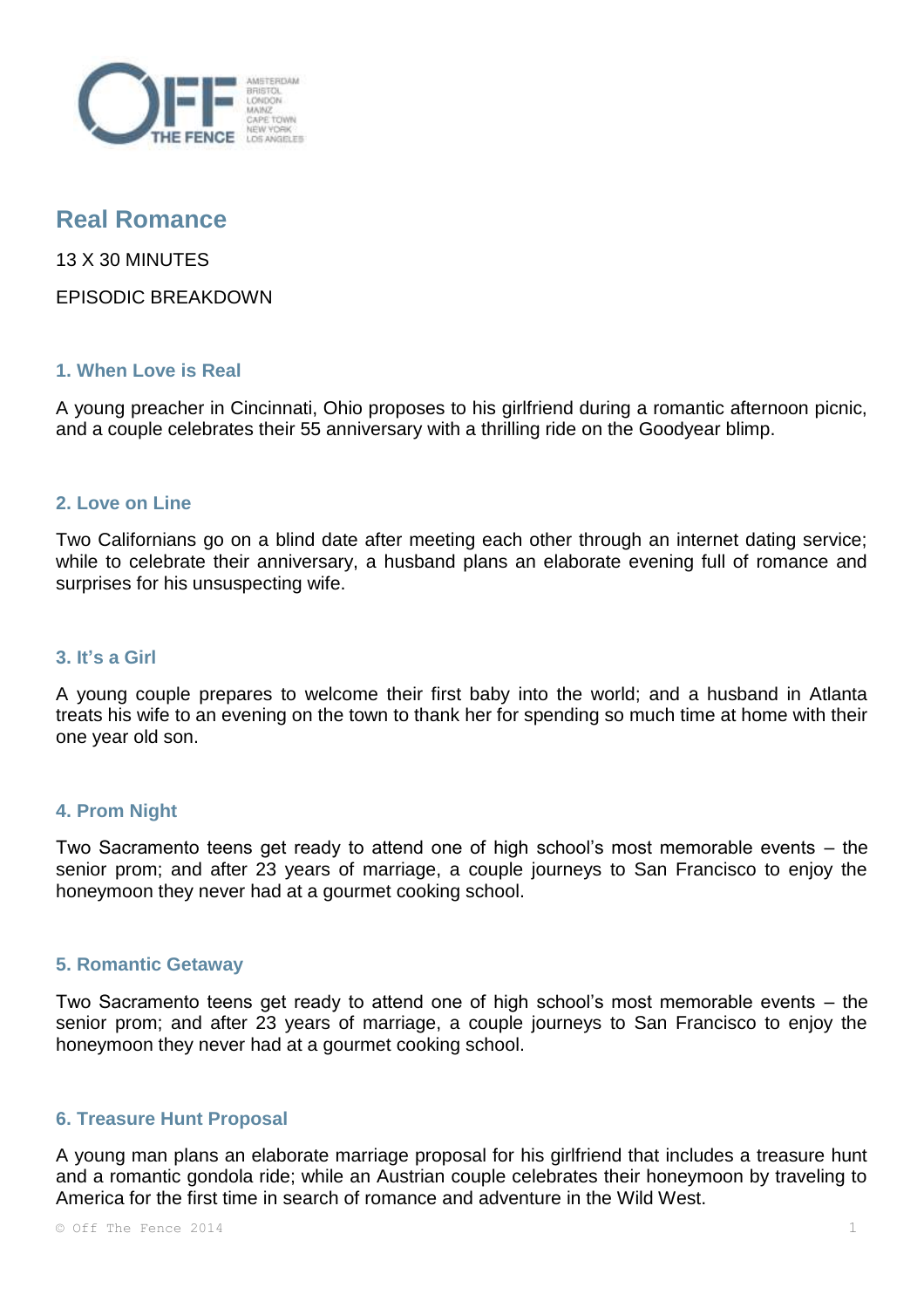

# **Real Romance**

13 X 30 MINUTES

EPISODIC BREAKDOWN

# **1. When Love is Real**

A young preacher in Cincinnati, Ohio proposes to his girlfriend during a romantic afternoon picnic, and a couple celebrates their 55 anniversary with a thrilling ride on the Goodyear blimp.

## **2. Love on Line**

Two Californians go on a blind date after meeting each other through an internet dating service; while to celebrate their anniversary, a husband plans an elaborate evening full of romance and surprises for his unsuspecting wife.

### **3. It's a Girl**

A young couple prepares to welcome their first baby into the world; and a husband in Atlanta treats his wife to an evening on the town to thank her for spending so much time at home with their one year old son.

# **4. Prom Night**

Two Sacramento teens get ready to attend one of high school's most memorable events – the senior prom; and after 23 years of marriage, a couple journeys to San Francisco to enjoy the honeymoon they never had at a gourmet cooking school.

#### **5. Romantic Getaway**

Two Sacramento teens get ready to attend one of high school's most memorable events – the senior prom; and after 23 years of marriage, a couple journeys to San Francisco to enjoy the honeymoon they never had at a gourmet cooking school.

## **6. Treasure Hunt Proposal**

A young man plans an elaborate marriage proposal for his girlfriend that includes a treasure hunt and a romantic gondola ride; while an Austrian couple celebrates their honeymoon by traveling to America for the first time in search of romance and adventure in the Wild West.